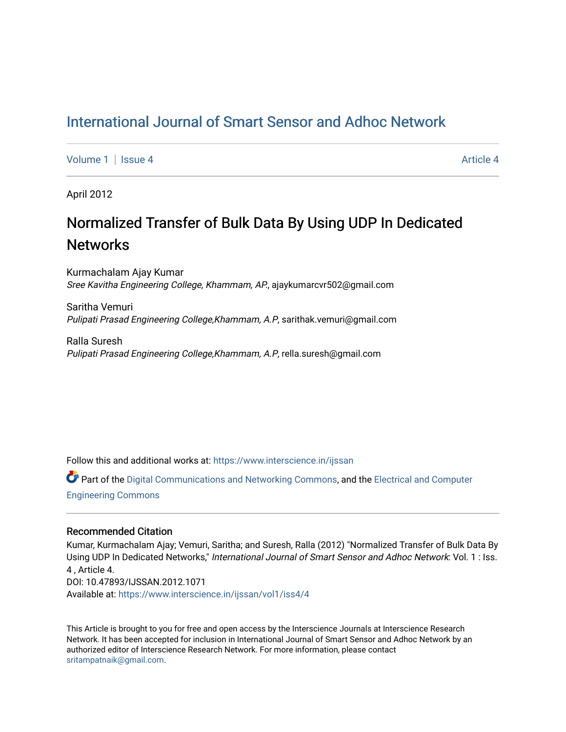## [International Journal of Smart Sensor and Adhoc Network](https://www.interscience.in/ijssan)

[Volume 1](https://www.interscience.in/ijssan/vol1) | [Issue 4](https://www.interscience.in/ijssan/vol1/iss4) Article 4

April 2012

# Normalized Transfer of Bulk Data By Using UDP In Dedicated **Networks**

Kurmachalam Ajay Kumar Sree Kavitha Engineering College, Khammam, AP., ajaykumarcvr502@gmail.com

Saritha Vemuri Pulipati Prasad Engineering College,Khammam, A.P, sarithak.vemuri@gmail.com

Ralla Suresh Pulipati Prasad Engineering College,Khammam, A.P, rella.suresh@gmail.com

Follow this and additional works at: [https://www.interscience.in/ijssan](https://www.interscience.in/ijssan?utm_source=www.interscience.in%2Fijssan%2Fvol1%2Fiss4%2F4&utm_medium=PDF&utm_campaign=PDFCoverPages) 

Part of the [Digital Communications and Networking Commons,](http://network.bepress.com/hgg/discipline/262?utm_source=www.interscience.in%2Fijssan%2Fvol1%2Fiss4%2F4&utm_medium=PDF&utm_campaign=PDFCoverPages) and the [Electrical and Computer](http://network.bepress.com/hgg/discipline/266?utm_source=www.interscience.in%2Fijssan%2Fvol1%2Fiss4%2F4&utm_medium=PDF&utm_campaign=PDFCoverPages) [Engineering Commons](http://network.bepress.com/hgg/discipline/266?utm_source=www.interscience.in%2Fijssan%2Fvol1%2Fiss4%2F4&utm_medium=PDF&utm_campaign=PDFCoverPages) 

### Recommended Citation

Kumar, Kurmachalam Ajay; Vemuri, Saritha; and Suresh, Ralla (2012) "Normalized Transfer of Bulk Data By Using UDP In Dedicated Networks," International Journal of Smart Sensor and Adhoc Network: Vol. 1 : Iss. 4 , Article 4. DOI: 10.47893/IJSSAN.2012.1071 Available at: [https://www.interscience.in/ijssan/vol1/iss4/4](https://www.interscience.in/ijssan/vol1/iss4/4?utm_source=www.interscience.in%2Fijssan%2Fvol1%2Fiss4%2F4&utm_medium=PDF&utm_campaign=PDFCoverPages) 

This Article is brought to you for free and open access by the Interscience Journals at Interscience Research Network. It has been accepted for inclusion in International Journal of Smart Sensor and Adhoc Network by an authorized editor of Interscience Research Network. For more information, please contact [sritampatnaik@gmail.com](mailto:sritampatnaik@gmail.com).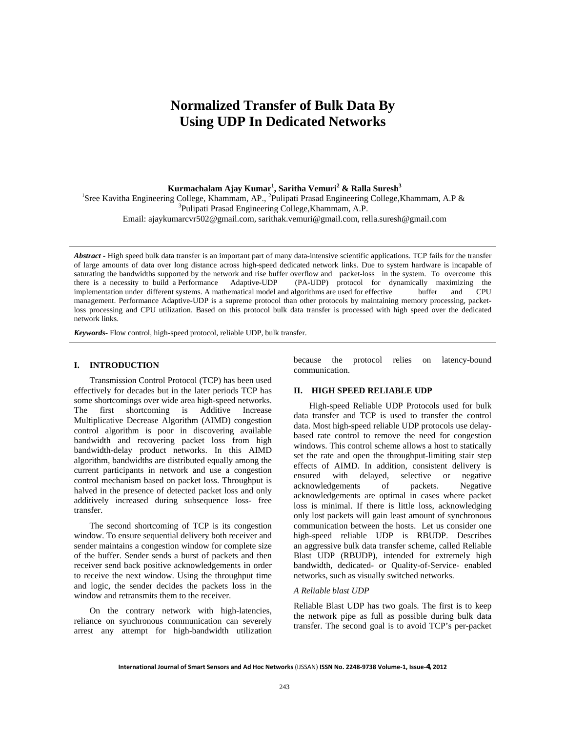## **Normalized Transfer of Bulk Data By Using UDP In Dedicated Networks**

 $\boldsymbol{\mathrm{K} }$ urmachalam Ajay  $\boldsymbol{\mathrm{K} }$ umar $^1$ , Saritha  $\boldsymbol{\mathrm{V} }$ emuri $^2$  & Ralla Suresh $^3$ 

<sup>1</sup>Sree Kavitha Engineering College, Khammam, AP., <sup>2</sup>Pulipati Prasad Engineering College, Khammam, A.P & <sup>3</sup>Pulipati Prasad Engineering College, Khammam, A.P.

Email: ajaykumarcvr502@gmail.com, sarithak.vemuri@gmail.com, rella.suresh@gmail.com

*Abstract -* High speed bulk data transfer is an important part of many data-intensive scientific applications. TCP fails for the transfer of large amounts of data over long distance across high-speed dedicated network links. Due to system hardware is incapable of saturating the bandwidths supported by the network and rise buffer overflow and packet-loss in the system. To overcome this there is a necessity to build a Performance Adaptive-UDP (PA-UDP) protocol for dynamically maximizing the implementation under different systems. A mathematical model and algorithms are used for effective buffer and CPU management. Performance Adaptive-UDP is a supreme protocol than other protocols by maintaining memory processing, packetloss processing and CPU utilization. Based on this protocol bulk data transfer is processed with high speed over the dedicated network links.

*Keywords***-** Flow control, high-speed protocol, reliable UDP, bulk transfer.

#### **I. INTRODUCTION**

 Transmission Control Protocol (TCP) has been used effectively for decades but in the later periods TCP has some shortcomings over wide area high-speed networks. The first shortcoming is Additive Increase Multiplicative Decrease Algorithm (AIMD) congestion control algorithm is poor in discovering available bandwidth and recovering packet loss from high bandwidth-delay product networks. In this AIMD algorithm, bandwidths are distributed equally among the current participants in network and use a congestion control mechanism based on packet loss. Throughput is halved in the presence of detected packet loss and only additively increased during subsequence loss- free transfer.

 The second shortcoming of TCP is its congestion window. To ensure sequential delivery both receiver and sender maintains a congestion window for complete size of the buffer. Sender sends a burst of packets and then receiver send back positive acknowledgements in order to receive the next window. Using the throughput time and logic, the sender decides the packets loss in the window and retransmits them to the receiver.

 On the contrary network with high-latencies, reliance on synchronous communication can severely arrest any attempt for high-bandwidth utilization

because the protocol relies on latency-bound communication.

#### **II. HIGH SPEED RELIABLE UDP**

 High-speed Reliable UDP Protocols used for bulk data transfer and TCP is used to transfer the control data. Most high-speed reliable UDP protocols use delaybased rate control to remove the need for congestion windows. This control scheme allows a host to statically set the rate and open the throughput-limiting stair step effects of AIMD. In addition, consistent delivery is ensured with delayed, selective or negative acknowledgements of packets. Negative acknowledgements are optimal in cases where packet loss is minimal. If there is little loss, acknowledging only lost packets will gain least amount of synchronous communication between the hosts. Let us consider one high-speed reliable UDP is RBUDP. Describes an aggressive bulk data transfer scheme, called Reliable Blast UDP (RBUDP), intended for extremely high bandwidth, dedicated- or Quality-of-Service- enabled networks, such as visually switched networks.

#### *A Reliable blast UDP*

Reliable Blast UDP has two goals. The first is to keep the network pipe as full as possible during bulk data transfer. The second goal is to avoid TCP's per-packet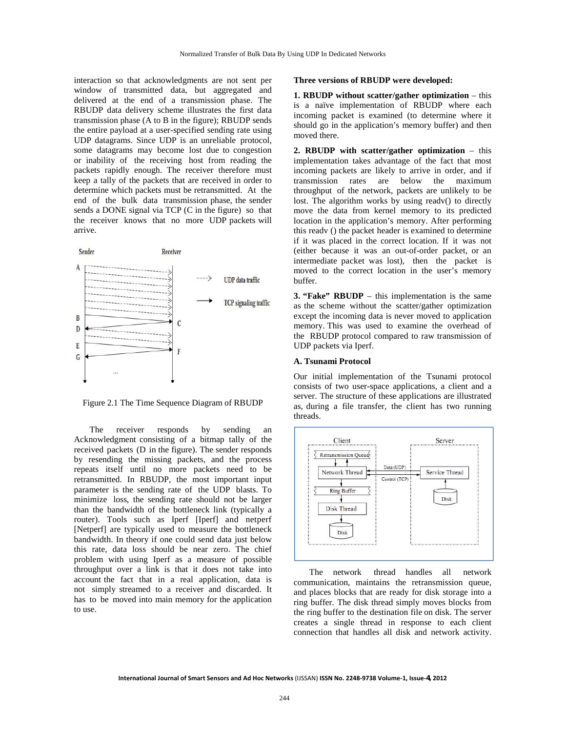interaction so that acknowledgments are not sent per window of transmitted data, but aggregated and delivered at the end of a transmission phase. The RBUDP data delivery scheme illustrates the first data transmission phase (A to B in the figure); RBUDP sends the entire payload at a user-specified sending rate using UDP datagrams. Since UDP is an unreliable protocol, some datagrams may become lost due to congestion or inability of the receiving host from reading the packets rapidly enough. The receiver therefore must keep a tally of the packets that are received in order to determine which packets must be retransmitted. At the end of the bulk data transmission phase, the sender sends a DONE signal via TCP (C in the figure) so that the receiver knows that no more UDP packets will arrive.



Figure 2.1 The Time Sequence Diagram of RBUDP

 The receiver responds by sending an Acknowledgment consisting of a bitmap tally of the received packets (D in the figure). The sender responds by resending the missing packets, and the process repeats itself until no more packets need to be retransmitted. In RBUDP, the most important input parameter is the sending rate of the UDP blasts. To minimize loss, the sending rate should not be larger than the bandwidth of the bottleneck link (typically a router). Tools such as Iperf [Iperf] and netperf [Netperf] are typically used to measure the bottleneck bandwidth. In theory if one could send data just below this rate, data loss should be near zero. The chief problem with using Iperf as a measure of possible throughput over a link is that it does not take into account the fact that in a real application, data is not simply streamed to a receiver and discarded. It has to be moved into main memory for the application to use.

#### **Three versions of RBUDP were developed:**

**1. RBUDP without scatter/gather optimization – this** is a naïve implementation of RBUDP where each incoming packet is examined (to determine where it should go in the application's memory buffer) and then moved there.

**2. RBUDP with scatter/gather optimization** – this implementation takes advantage of the fact that most incoming packets are likely to arrive in order, and if transmission rates are below the maximum throughput of the network, packets are unlikely to be lost. The algorithm works by using readv() to directly move the data from kernel memory to its predicted location in the application's memory. After performing this readv () the packet header is examined to determine if it was placed in the correct location. If it was not (either because it was an out-of-order packet, or an intermediate packet was lost), then the packet is moved to the correct location in the user's memory buffer.

**3. "Fake" RBUDP** – this implementation is the same as the scheme without the scatter/gather optimization except the incoming data is never moved to application memory. This was used to examine the overhead of the RBUDP protocol compared to raw transmission of UDP packets via Iperf.

#### **A. Tsunami Protocol**

Our initial implementation of the Tsunami protocol consists of two user-space applications, a client and a server. The structure of these applications are illustrated as, during a file transfer, the client has two running threads.



The network thread handles all network communication, maintains the retransmission queue, and places blocks that are ready for disk storage into a ring buffer. The disk thread simply moves blocks from the ring buffer to the destination file on disk. The server creates a single thread in response to each client connection that handles all disk and network activity.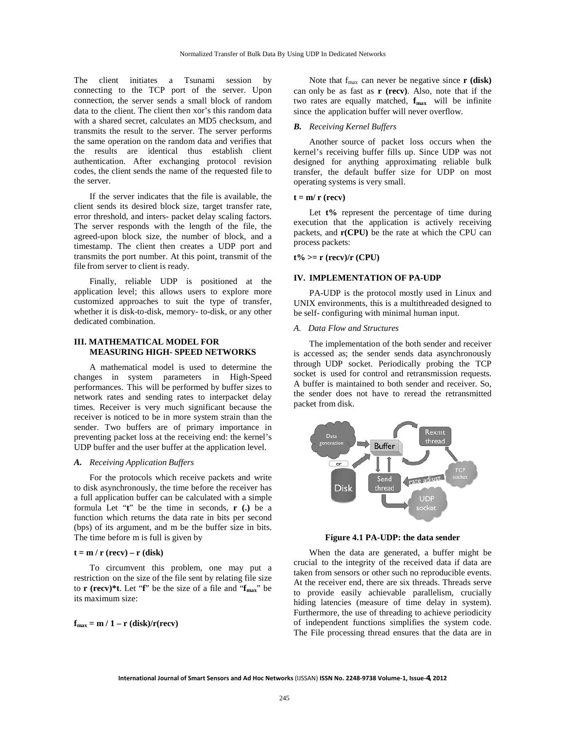The client initiates a Tsunami session by connecting to the TCP port of the server. Upon connection, the server sends a small block of random data to the client. The client then xor's this random data with a shared secret, calculates an MD5 checksum, and transmits the result to the server. The server performs the same operation on the random data and verifies that the results are identical thus establish client authentication. After exchanging protocol revision codes, the client sends the name of the requested file to the server.

If the server indicates that the file is available, the client sends its desired block size, target transfer rate, error threshold, and inters- packet delay scaling factors. The server responds with the length of the file, the agreed-upon block size, the number of block, and a timestamp. The client then creates a UDP port and transmits the port number. At this point, transmit of the file from server to client is ready.

Finally, reliable UDP is positioned at the application level; this allows users to explore more customized approaches to suit the type of transfer, whether it is disk-to-disk, memory- to-disk, or any other dedicated combination.

#### **III. MATHEMATICAL MODEL FOR MEASURING HIGH- SPEED NETWORKS**

A mathematical model is used to determine the changes in system parameters in High-Speed performances. This will be performed by buffer sizes to network rates and sending rates to interpacket delay times. Receiver is very much significant because the receiver is noticed to be in more system strain than the sender. Two buffers are of primary importance in preventing packet loss at the receiving end: the kernel's UDP buffer and the user buffer at the application level.

#### *A. Receiving Application Buffers*

 For the protocols which receive packets and write to disk asynchronously, the time before the receiver has a full application buffer can be calculated with a simple formula Let "**t**" be the time in seconds, **r (.)** be a function which returns the data rate in bits per second (bps) of its argument, and m be the buffer size in bits. The time before m is full is given by

#### $t = m / r$  (recv) – r (disk)

 To circumvent this problem, one may put a restriction on the size of the file sent by relating file size to **r** (recv)\*t. Let "f" be the size of a file and "f<sub>max</sub>" be its maximum size:

 $f_{\text{max}} = m / 1 - r$  (disk)/r(recv)

Note that f<sub>max</sub> can never be negative since **r** (disk) can only be as fast as **r (recv)**. Also, note that if the two rates are equally matched,  $f_{max}$  will be infinite since the application buffer will never overflow.

#### *B. Receiving Kernel Buffers*

 Another source of packet loss occurs when the kernel's receiving buffer fills up. Since UDP was not designed for anything approximating reliable bulk transfer, the default buffer size for UDP on most operating systems is very small.

#### $t = m/r$  (recv)

Let  $t\%$  represent the percentage of time during execution that the application is actively receiving packets, and **r(CPU)** be the rate at which the CPU can process packets:

#### **t% >= r (recv)/r (CPU)**

#### **IV. IMPLEMENTATION OF PA-UDP**

 PA-UDP is the protocol mostly used in Linux and UNIX environments, this is a multithreaded designed to be self- configuring with minimal human input.

#### *A. Data Flow and Structures*

 The implementation of the both sender and receiver is accessed as; the sender sends data asynchronously through UDP socket. Periodically probing the TCP socket is used for control and retransmission requests. A buffer is maintained to both sender and receiver. So, the sender does not have to reread the retransmitted packet from disk.



**Figure 4.1 PA-UDP: the data sender**

 When the data are generated, a buffer might be crucial to the integrity of the received data if data are taken from sensors or other such no reproducible events. At the receiver end, there are six threads. Threads serve to provide easily achievable parallelism, crucially hiding latencies (measure of time delay in system). Furthermore, the use of threading to achieve periodicity of independent functions simplifies the system code. The File processing thread ensures that the data are in